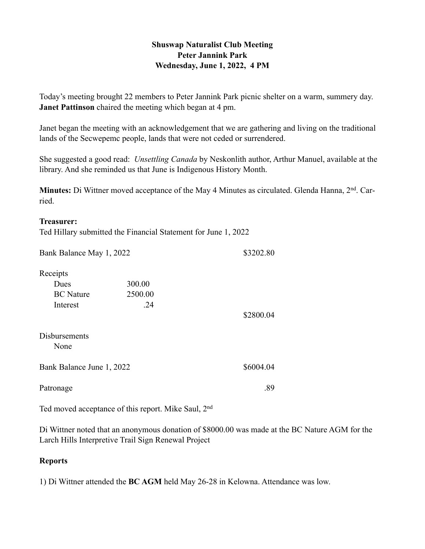### **Shuswap Naturalist Club Meeting Peter Jannink Park Wednesday, June 1, 2022, 4 PM**

Today's meeting brought 22 members to Peter Jannink Park picnic shelter on a warm, summery day. **Janet Pattinson** chaired the meeting which began at 4 pm.

Janet began the meeting with an acknowledgement that we are gathering and living on the traditional lands of the Secwepemc people, lands that were not ceded or surrendered.

She suggested a good read: *Unsettling Canada* by Neskonlith author, Arthur Manuel, available at the library. And she reminded us that June is Indigenous History Month.

**Minutes:** Di Wittner moved acceptance of the May 4 Minutes as circulated. Glenda Hanna, 2<sup>nd</sup>. Carried.

#### **Treasurer:**

Ted Hillary submitted the Financial Statement for June 1, 2022

| Bank Balance May 1, 2022     |         | \$3202.80 |
|------------------------------|---------|-----------|
| Receipts                     |         |           |
| Dues                         | 300.00  |           |
| <b>BC</b> Nature             | 2500.00 |           |
| Interest                     | .24     |           |
|                              |         | \$2800.04 |
| <b>Disbursements</b><br>None |         |           |
| Bank Balance June 1, 2022    |         | \$6004.04 |
| Patronage                    |         | .89       |

Ted moved acceptance of this report. Mike Saul, 2nd

Di Wittner noted that an anonymous donation of \$8000.00 was made at the BC Nature AGM for the Larch Hills Interpretive Trail Sign Renewal Project

#### **Reports**

1) Di Wittner attended the **BC AGM** held May 26-28 in Kelowna. Attendance was low.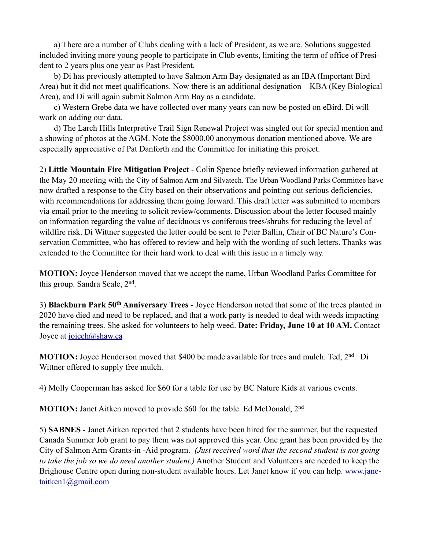a) There are a number of Clubs dealing with a lack of President, as we are. Solutions suggested included inviting more young people to participate in Club events, limiting the term of office of President to 2 years plus one year as Past President.

 b) Di has previously attempted to have Salmon Arm Bay designated as an IBA (Important Bird Area) but it did not meet qualifications. Now there is an additional designation—KBA (Key Biological Area), and Di will again submit Salmon Arm Bay as a candidate.

 c) Western Grebe data we have collected over many years can now be posted on eBird. Di will work on adding our data.

 d) The Larch Hills Interpretive Trail Sign Renewal Project was singled out for special mention and a showing of photos at the AGM. Note the \$8000.00 anonymous donation mentioned above. We are especially appreciative of Pat Danforth and the Committee for initiating this project.

2) **Little Mountain Fire Mitigation Project** - Colin Spence briefly reviewed information gathered at the May 20 meeting with the City of Salmon Arm and Silvatech. The Urban Woodland Parks Committee have now drafted a response to the City based on their observations and pointing out serious deficiencies, with recommendations for addressing them going forward. This draft letter was submitted to members via email prior to the meeting to solicit review/comments. Discussion about the letter focused mainly on information regarding the value of deciduous vs coniferous trees/shrubs for reducing the level of wildfire risk. Di Wittner suggested the letter could be sent to Peter Ballin, Chair of BC Nature's Conservation Committee, who has offered to review and help with the wording of such letters. Thanks was extended to the Committee for their hard work to deal with this issue in a timely way.

**MOTION:** Joyce Henderson moved that we accept the name, Urban Woodland Parks Committee for this group. Sandra Seale, 2nd.

3) **Blackburn Park 50th Anniversary Trees** - Joyce Henderson noted that some of the trees planted in 2020 have died and need to be replaced, and that a work party is needed to deal with weeds impacting the remaining trees. She asked for volunteers to help weed. **Date: Friday, June 10 at 10 AM.** Contact Joyce at [joiceh@shaw.ca](mailto:joiceh@shaw.ca)

**MOTION:** Joyce Henderson moved that \$400 be made available for trees and mulch. Ted, 2<sup>nd</sup>. Di Wittner offered to supply free mulch.

4) Molly Cooperman has asked for \$60 for a table for use by BC Nature Kids at various events.

**MOTION:** Janet Aitken moved to provide \$60 for the table. Ed McDonald, 2<sup>nd</sup>

5) **SABNES** - Janet Aitken reported that 2 students have been hired for the summer, but the requested Canada Summer Job grant to pay them was not approved this year. One grant has been provided by the City of Salmon Arm Grants-in -Aid program. *(Just received word that the second student is not going to take the job so we do need another student.)* Another Student and Volunteers are needed to keep the [Brighouse Centre open during non-student available hours. Let Janet know if you can help. www.jane](mailto:www.janetaitken1@gmail.com)taitken1@gmail.com